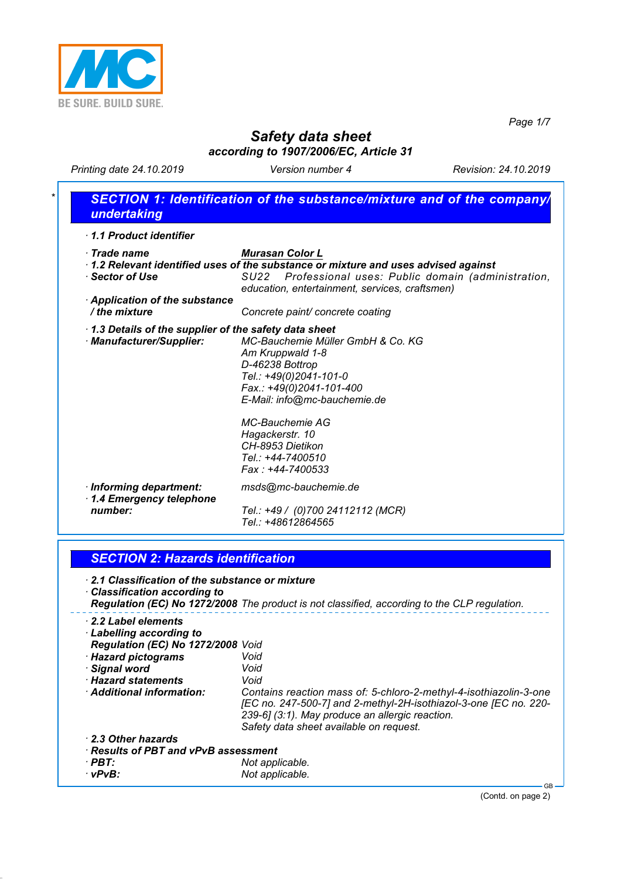

*Page 1/7*

# *Safety data sheet according to 1907/2006/EC, Article 31*

*Printing date 24.10.2019 Version number 4 Revision: 24.10.2019*

*· 2.3 Other hazards*

*· Results of PBT and vPvB assessment · PBT: Not applicable.*

| $\cdot$ Trade name<br>· Sector of Use<br><b>Application of the substance</b><br>/ the mixture | <b>Murasan Color L</b><br>1.2 Relevant identified uses of the substance or mixture and uses advised against<br>Professional uses: Public domain (administration,<br>SU22<br>education, entertainment, services, craftsmen)<br>Concrete paint/ concrete coating |
|-----------------------------------------------------------------------------------------------|----------------------------------------------------------------------------------------------------------------------------------------------------------------------------------------------------------------------------------------------------------------|
|                                                                                               |                                                                                                                                                                                                                                                                |
|                                                                                               |                                                                                                                                                                                                                                                                |
| 1.3 Details of the supplier of the safety data sheet<br>· Manufacturer/Supplier:              | MC-Bauchemie Müller GmbH & Co. KG<br>Am Kruppwald 1-8<br>D-46238 Bottrop<br>Tel.: +49(0)2041-101-0<br>Fax.: +49(0)2041-101-400<br>E-Mail: info@mc-bauchemie.de                                                                                                 |
|                                                                                               | MC-Bauchemie AG<br>Hagackerstr. 10<br>CH-8953 Dietikon<br>Tel.: +44-7400510<br>Fax: +44-7400533                                                                                                                                                                |
| · Informing department:<br>1.4 Emergency telephone<br>number:                                 | msds@mc-bauchemie.de<br>Tel.: +49 / (0)700 24112112 (MCR)<br>Tel.: +48612864565                                                                                                                                                                                |

*[EC no. 247-500-7] and 2-methyl-2H-isothiazol-3-one [EC no. 220-*

*239-6] (3:1). May produce an allergic reaction. Safety data sheet available on request.*

 $Not$  *applicable.* 

(Contd. on page 2)

GB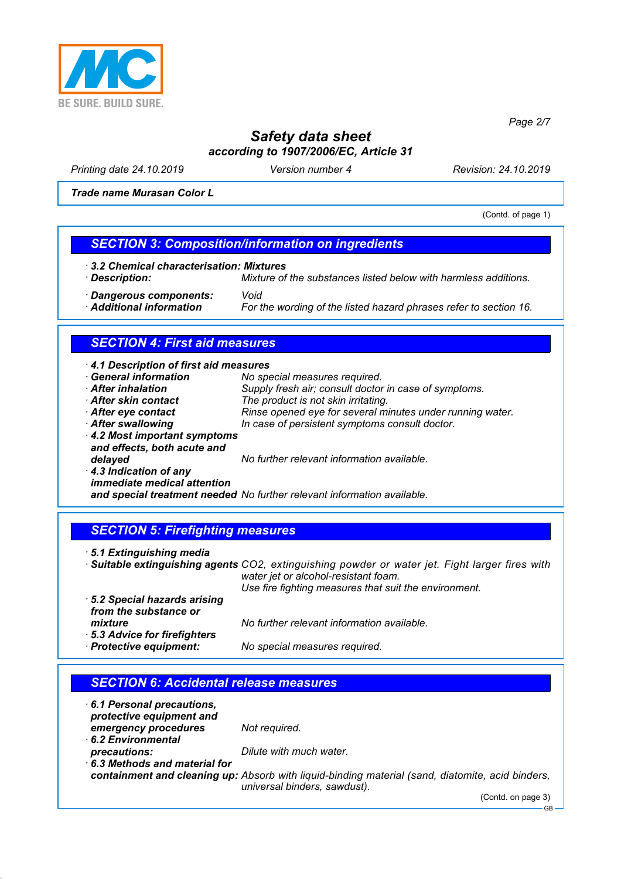

*Printing date 24.10.2019 Version number 4 Revision: 24.10.2019*

*Trade name Murasan Color L*

(Contd. of page 1)

*Page 2/7*

### *SECTION 3: Composition/information on ingredients*

- *· 3.2 Chemical characterisation: Mixtures*
- 

*· Description: Mixture of the substances listed below with harmless additions.*

*· Dangerous components: Void*

For the wording of the listed hazard phrases refer to section 16.

# *SECTION 4: First aid measures*

| 4.1 Description of first aid measures<br><b>General information</b> | No special measures required.                                           |
|---------------------------------------------------------------------|-------------------------------------------------------------------------|
|                                                                     |                                                                         |
| After inhalation                                                    | Supply fresh air; consult doctor in case of symptoms.                   |
| After skin contact                                                  | The product is not skin irritating.                                     |
| After eye contact                                                   | Rinse opened eye for several minutes under running water.               |
| After swallowing                                                    | In case of persistent symptoms consult doctor.                          |
| 4.2 Most important symptoms<br>and effects, both acute and          |                                                                         |
| delayed                                                             | No further relevant information available.                              |
| 4.3 Indication of any<br>immediate medical attention                |                                                                         |
|                                                                     | and special treatment needed No further relevant information available. |

#### *SECTION 5: Firefighting measures*

*· 5.1 Extinguishing media*

*· Suitable extinguishing agents CO2, extinguishing powder or water jet. Fight larger fires with water jet or alcohol-resistant foam. Use fire fighting measures that suit the environment.*

- *· 5.2 Special hazards arising from the substance or mixture No further relevant information available.*
- *· 5.3 Advice for firefighters · Protective equipment: No special measures required.*

### *SECTION 6: Accidental release measures*

*· 6.1 Personal precautions, protective equipment and emergency procedures Not required. · 6.2 Environmental precautions: Dilute with much water. · 6.3 Methods and material for*

*containment and cleaning up: Absorb with liquid-binding material (sand, diatomite, acid binders, universal binders, sawdust).*

(Contd. on page 3)

GB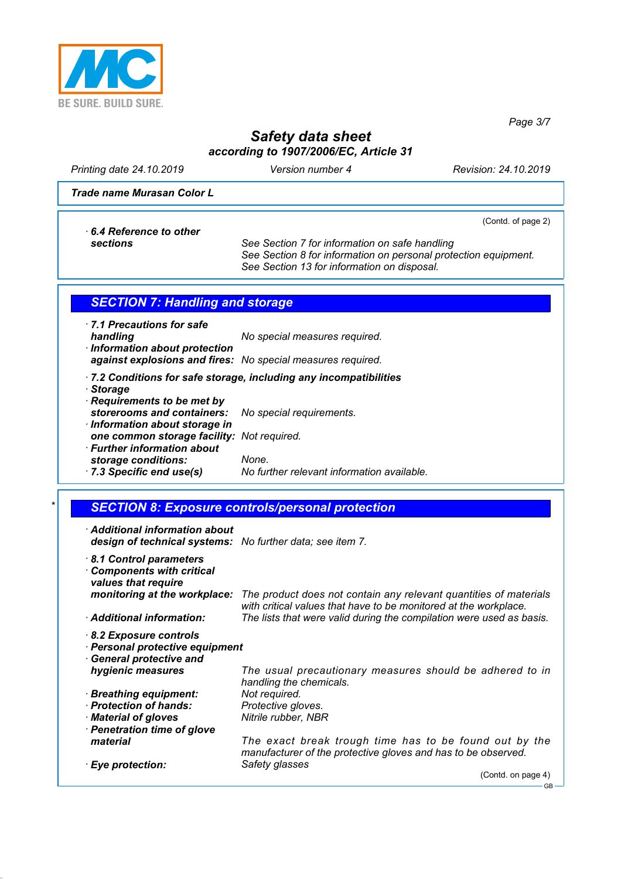

*Page 3/7*

GB

|                                                                                                   |                                                                                                                                                                    | Page 3/7             |
|---------------------------------------------------------------------------------------------------|--------------------------------------------------------------------------------------------------------------------------------------------------------------------|----------------------|
|                                                                                                   | <b>Safety data sheet</b>                                                                                                                                           |                      |
|                                                                                                   | according to 1907/2006/EC, Article 31                                                                                                                              |                      |
| Printing date 24.10.2019                                                                          | Version number 4                                                                                                                                                   | Revision: 24.10.2019 |
| Trade name Murasan Color L                                                                        |                                                                                                                                                                    |                      |
|                                                                                                   |                                                                                                                                                                    | (Contd. of page 2)   |
| 6.4 Reference to other<br>sections                                                                | See Section 7 for information on safe handling<br>See Section 8 for information on personal protection equipment.<br>See Section 13 for information on disposal.   |                      |
| <b>SECTION 7: Handling and storage</b>                                                            |                                                                                                                                                                    |                      |
|                                                                                                   |                                                                                                                                                                    |                      |
| 7.1 Precautions for safe<br>handling<br>· Information about protection                            | No special measures required.                                                                                                                                      |                      |
|                                                                                                   | against explosions and fires: No special measures required.                                                                                                        |                      |
|                                                                                                   | .7.2 Conditions for safe storage, including any incompatibilities                                                                                                  |                      |
| · Storage                                                                                         |                                                                                                                                                                    |                      |
| Requirements to be met by<br>storerooms and containers:                                           |                                                                                                                                                                    |                      |
| · Information about storage in                                                                    | No special requirements.                                                                                                                                           |                      |
| one common storage facility: Not required.                                                        |                                                                                                                                                                    |                      |
| · Further information about                                                                       |                                                                                                                                                                    |                      |
| storage conditions:<br>7.3 Specific end use(s)                                                    | None.<br>No further relevant information available.                                                                                                                |                      |
|                                                                                                   |                                                                                                                                                                    |                      |
|                                                                                                   | <b>SECTION 8: Exposure controls/personal protection</b>                                                                                                            |                      |
|                                                                                                   |                                                                                                                                                                    |                      |
| $\cdot$ Additional information about<br>design of technical systems: No further data; see item 7. |                                                                                                                                                                    |                      |
| 8.1 Control parameters                                                                            |                                                                                                                                                                    |                      |
| <b>Components with critical</b>                                                                   |                                                                                                                                                                    |                      |
| values that require                                                                               |                                                                                                                                                                    |                      |
|                                                                                                   | monitoring at the workplace: The product does not contain any relevant quantities of materials<br>with critical values that have to be monitored at the workplace. |                      |
| · Additional information:                                                                         | The lists that were valid during the compilation were used as basis.                                                                                               |                      |
| 8.2 Exposure controls                                                                             |                                                                                                                                                                    |                      |
| · Personal protective equipment                                                                   |                                                                                                                                                                    |                      |
| <b>General protective and</b>                                                                     |                                                                                                                                                                    |                      |
| hygienic measures                                                                                 | The usual precautionary measures should be adhered to in<br>handling the chemicals.                                                                                |                      |
| · Breathing equipment:                                                                            | Not required.                                                                                                                                                      |                      |
| · Protection of hands:                                                                            | Protective gloves.                                                                                                                                                 |                      |
| · Material of gloves                                                                              | Nitrile rubber, NBR                                                                                                                                                |                      |
| · Penetration time of glove<br>material                                                           | The exact break trough time has to be found out by the                                                                                                             |                      |
|                                                                                                   | manufacturer of the protective gloves and has to be observed.                                                                                                      |                      |
| · Eye protection:                                                                                 | Safety glasses                                                                                                                                                     |                      |
|                                                                                                   |                                                                                                                                                                    | (Contd. on page 4)   |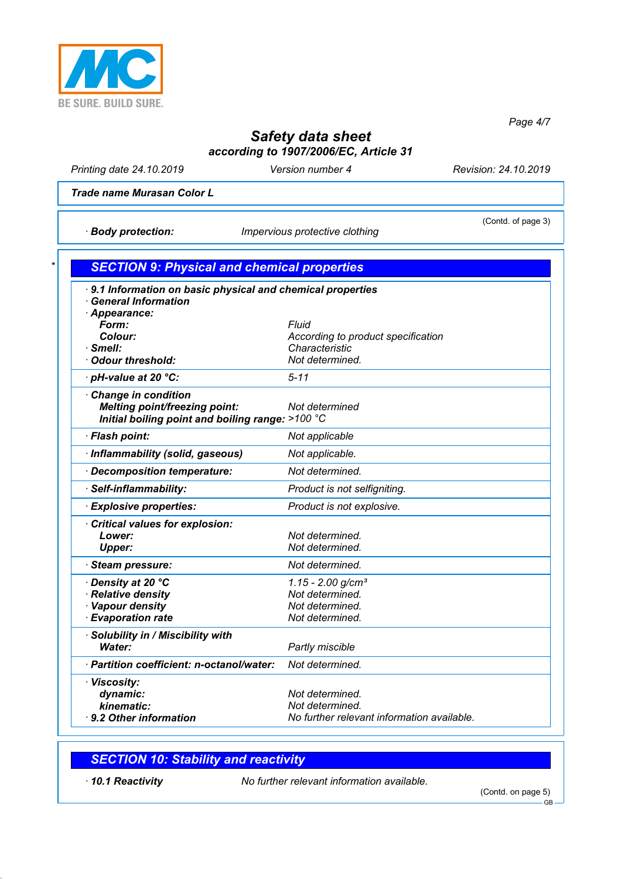

*Page 4/7*

# *Safety data sheet according to 1907/2006/EC, Article 31*

*Printing date 24.10.2019 Version number 4 Revision: 24.10.2019*

*Trade name Murasan Color L*

*· Body protection: Impervious protective clothing*

(Contd. of page 3)

| <b>General Information</b><br>Appearance:<br><b>Fluid</b><br>Form:<br>According to product specification<br>Colour:<br>Characteristic<br>Not determined.<br>$5 - 11$<br><b>Melting point/freezing point:</b><br>Not determined<br>Initial boiling point and boiling range: >100 °C<br>Not applicable<br>Not applicable.<br>Not determined.<br>Product is not selfigniting.<br>Product is not explosive.<br>Not determined.<br>Lower:<br>Not determined.<br><b>Upper:</b><br>Not determined.<br>$1.15 - 2.00$ g/cm <sup>3</sup><br>Not determined.<br>Not determined.<br>Not determined.<br>Water:<br>Partly miscible<br>Not determined.<br>dynamic:<br>Not determined. | 9.1 Information on basic physical and chemical properties |                                            |
|------------------------------------------------------------------------------------------------------------------------------------------------------------------------------------------------------------------------------------------------------------------------------------------------------------------------------------------------------------------------------------------------------------------------------------------------------------------------------------------------------------------------------------------------------------------------------------------------------------------------------------------------------------------------|-----------------------------------------------------------|--------------------------------------------|
|                                                                                                                                                                                                                                                                                                                                                                                                                                                                                                                                                                                                                                                                        |                                                           |                                            |
| · Smell:<br><b>Odour threshold:</b><br>· pH-value at 20 °C:<br><b>Change in condition</b><br>· Flash point:<br>· Inflammability (solid, gaseous)<br>Decomposition temperature:<br>· Self-inflammability:<br><b>Explosive properties:</b><br>Critical values for explosion:<br><b>Steam pressure:</b><br>· Density at 20 °C<br>· Relative density<br>Vapour density<br><b>Evaporation rate</b><br>· Solubility in / Miscibility with<br>· Partition coefficient: n-octanol/water:<br>· Viscosity:                                                                                                                                                                       |                                                           |                                            |
|                                                                                                                                                                                                                                                                                                                                                                                                                                                                                                                                                                                                                                                                        |                                                           |                                            |
|                                                                                                                                                                                                                                                                                                                                                                                                                                                                                                                                                                                                                                                                        |                                                           |                                            |
|                                                                                                                                                                                                                                                                                                                                                                                                                                                                                                                                                                                                                                                                        |                                                           |                                            |
|                                                                                                                                                                                                                                                                                                                                                                                                                                                                                                                                                                                                                                                                        |                                                           |                                            |
|                                                                                                                                                                                                                                                                                                                                                                                                                                                                                                                                                                                                                                                                        |                                                           |                                            |
|                                                                                                                                                                                                                                                                                                                                                                                                                                                                                                                                                                                                                                                                        |                                                           |                                            |
|                                                                                                                                                                                                                                                                                                                                                                                                                                                                                                                                                                                                                                                                        |                                                           |                                            |
|                                                                                                                                                                                                                                                                                                                                                                                                                                                                                                                                                                                                                                                                        |                                                           |                                            |
|                                                                                                                                                                                                                                                                                                                                                                                                                                                                                                                                                                                                                                                                        |                                                           |                                            |
|                                                                                                                                                                                                                                                                                                                                                                                                                                                                                                                                                                                                                                                                        |                                                           |                                            |
|                                                                                                                                                                                                                                                                                                                                                                                                                                                                                                                                                                                                                                                                        |                                                           |                                            |
|                                                                                                                                                                                                                                                                                                                                                                                                                                                                                                                                                                                                                                                                        |                                                           |                                            |
|                                                                                                                                                                                                                                                                                                                                                                                                                                                                                                                                                                                                                                                                        |                                                           |                                            |
|                                                                                                                                                                                                                                                                                                                                                                                                                                                                                                                                                                                                                                                                        |                                                           |                                            |
|                                                                                                                                                                                                                                                                                                                                                                                                                                                                                                                                                                                                                                                                        |                                                           |                                            |
|                                                                                                                                                                                                                                                                                                                                                                                                                                                                                                                                                                                                                                                                        |                                                           |                                            |
|                                                                                                                                                                                                                                                                                                                                                                                                                                                                                                                                                                                                                                                                        |                                                           |                                            |
|                                                                                                                                                                                                                                                                                                                                                                                                                                                                                                                                                                                                                                                                        |                                                           |                                            |
|                                                                                                                                                                                                                                                                                                                                                                                                                                                                                                                                                                                                                                                                        |                                                           |                                            |
|                                                                                                                                                                                                                                                                                                                                                                                                                                                                                                                                                                                                                                                                        |                                                           |                                            |
|                                                                                                                                                                                                                                                                                                                                                                                                                                                                                                                                                                                                                                                                        |                                                           |                                            |
|                                                                                                                                                                                                                                                                                                                                                                                                                                                                                                                                                                                                                                                                        |                                                           |                                            |
|                                                                                                                                                                                                                                                                                                                                                                                                                                                                                                                                                                                                                                                                        |                                                           |                                            |
|                                                                                                                                                                                                                                                                                                                                                                                                                                                                                                                                                                                                                                                                        |                                                           |                                            |
|                                                                                                                                                                                                                                                                                                                                                                                                                                                                                                                                                                                                                                                                        |                                                           |                                            |
|                                                                                                                                                                                                                                                                                                                                                                                                                                                                                                                                                                                                                                                                        | 9.2 Other information                                     | No further relevant information available. |

### *SECTION 10: Stability and reactivity*

*· 10.1 Reactivity No further relevant information available.*

(Contd. on page 5)

GB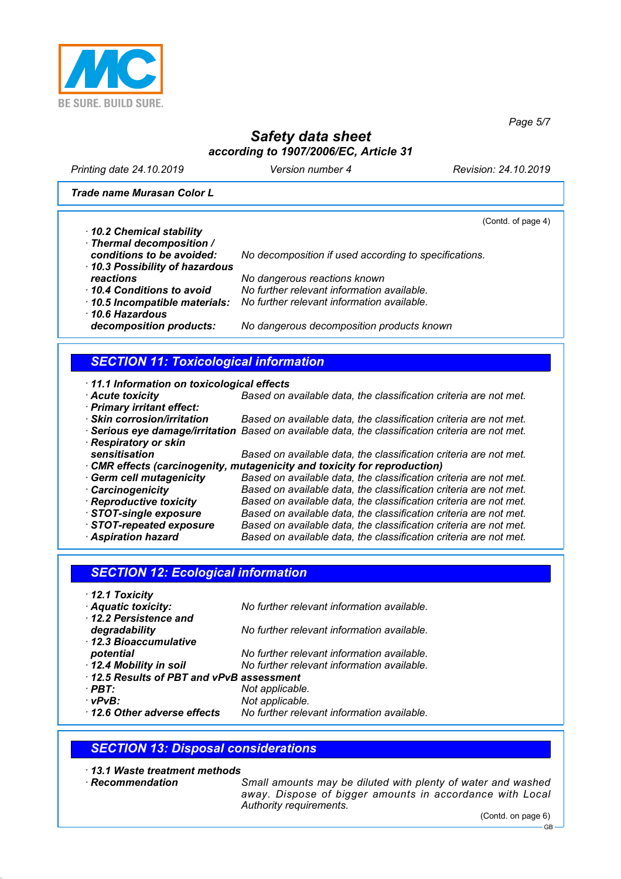

*Printing date 24.10.2019 Version number 4 Revision: 24.10.2019*

*Trade name Murasan Color L*

(Contd. of page 4)

*Page 5/7*

*· 10.2 Chemical stability · Thermal decomposition / conditions to be avoided: No decomposition if used according to specifications. · 10.3 Possibility of hazardous reactions No dangerous reactions known · 10.4 Conditions to avoid No further relevant information available. · 10.5 Incompatible materials: No further relevant information available. · 10.6 Hazardous decomposition products: No dangerous decomposition products known*

# *SECTION 11: Toxicological information*

- *· 11.1 Information on toxicological effects · Acute toxicity Based on available data, the classification criteria are not met. · Primary irritant effect:* **Based on available data, the classification criteria are not met.** *· Serious eye damage/irritation Based on available data, the classification criteria are not met. · Respiratory or skin sensitisation Based on available data, the classification criteria are not met.*
	- *· CMR effects (carcinogenity, mutagenicity and toxicity for reproduction) · Germ cell mutagenicity Based on available data, the classification criteria are not met.*
	-
	- *· Carcinogenicity Based on available data, the classification criteria are not met. · Reproductive toxicity Based on available data, the classification criteria are not met.*
	-
	- *· STOT-repeated exposure Based on available data, the classification criteria are not met.*
	- *· Aspiration hazard Based on available data, the classification criteria are not met.*

## *SECTION 12: Ecological information*

*· 12.1 Toxicity · Aquatic toxicity: No further relevant information available. · 12.2 Persistence and degradability No further relevant information available. · 12.3 Bioaccumulative potential No further relevant information available. · 12.4 Mobility in soil No further relevant information available. · 12.5 Results of PBT and vPvB assessment · PBT: Not applicable. · vPvB: Not applicable. · 12.6 Other adverse effects No further relevant information available.*

## *SECTION 13: Disposal considerations*

*· 13.1 Waste treatment methods*

- 
- *Small amounts may be diluted with plenty of water and washed away. Dispose of bigger amounts in accordance with Local Authority requirements.*

**Based on available data, the classification criteria are not met.**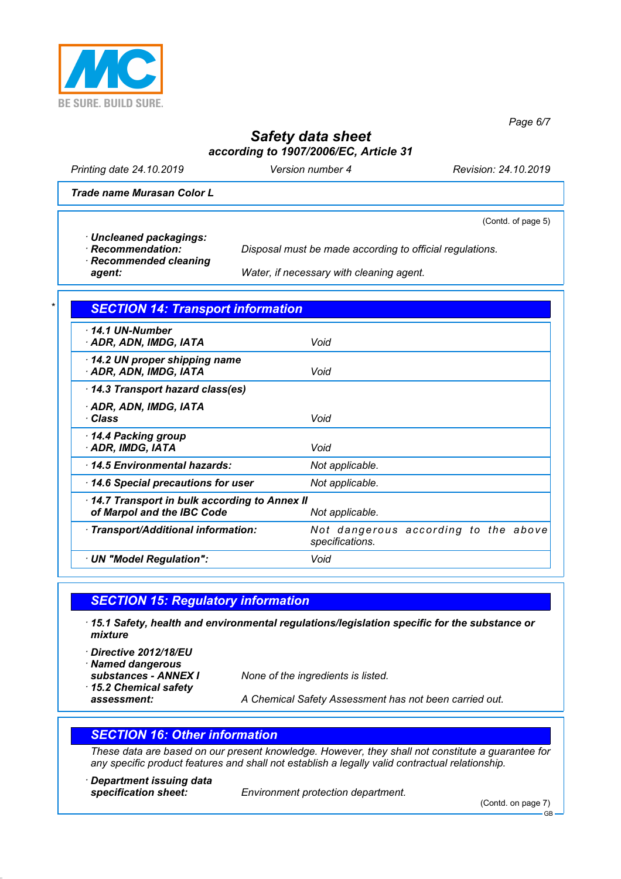

*Printing date 24.10.2019 Version number 4 Revision: 24.10.2019*

(Contd. of page 5)

*Page 6/7*

*Trade name Murasan Color L*

*· Uncleaned packagings:*

*· Recommendation: Disposal must be made according to official regulations.*

*· Recommended cleaning*

*agent: Water, if necessary with cleaning agent.*

### *\* SECTION 14: Transport information*

| 14.1 UN-Number<br>· ADR, ADN, IMDG, IATA                                   | Void                                                    |
|----------------------------------------------------------------------------|---------------------------------------------------------|
| 14.2 UN proper shipping name<br>· ADR, ADN, IMDG, IATA                     | Void                                                    |
| 14.3 Transport hazard class(es)                                            |                                                         |
| · ADR, ADN, IMDG, IATA<br>∙ Class                                          | Void                                                    |
| 14.4 Packing group<br>· ADR, IMDG, IATA                                    | Void                                                    |
| 14.5 Environmental hazards:                                                | Not applicable.                                         |
| 14.6 Special precautions for user                                          | Not applicable.                                         |
| 14.7 Transport in bulk according to Annex II<br>of Marpol and the IBC Code | Not applicable.                                         |
| · Transport/Additional information:                                        | Not dangerous according to the above<br>specifications. |
| · UN "Model Regulation":                                                   | Void                                                    |

## *SECTION 15: Regulatory information*

- *· 15.1 Safety, health and environmental regulations/legislation specific for the substance or mixture*
- *· Directive 2012/18/EU*
- *· Named dangerous*
- *· 15.2 Chemical safety*
- 

*substances - ANNEX I None of the ingredients is listed.*

*assessment: A Chemical Safety Assessment has not been carried out.*

## *SECTION 16: Other information*

*These data are based on our present knowledge. However, they shall not constitute a guarantee for any specific product features and shall not establish a legally valid contractual relationship.*

*· Department issuing data*

*specification sheet: Environment protection department.*

(Contd. on page 7)

GB